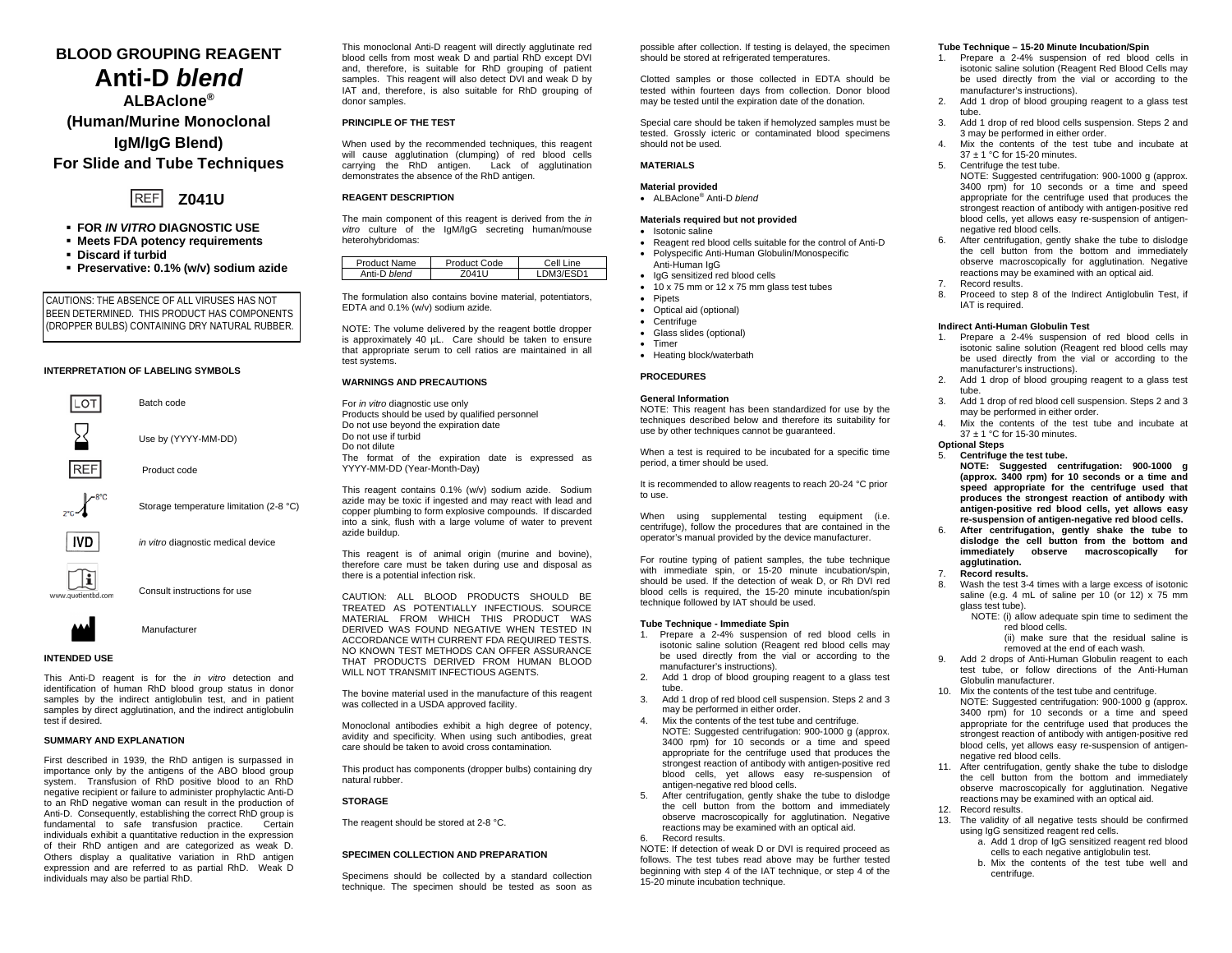# **BLOOD GROUPING REAGENT Anti-D** *blend*

**ALBAclone® (Human/Murine Monoclonal IgM/IgG Blend) For Slide and Tube Techniques**



- **FOR** *IN VITRO* **DIAGNOSTIC USE**
- **Meets FDA potency requirements**
- **Discard if turbid**
- **Preservative: 0.1% (w/v) sodium azide**

CAUTIONS: THE ABSENCE OF ALL VIRUSES HAS NOT BEEN DETERMINED. THIS PRODUCT HAS COMPONENTS (DROPPER BULBS) CONTAINING DRY NATURAL RUBBER.

#### **INTERPRETATION OF LABELING SYMBOLS**



Consult instructions for use

**AA** 

### **INTENDED USE**

This Anti-D reagent is for the *in vitro* detection and identification of human RhD blood group status in donor samples by the indirect antiglobulin test, and in patient samples by direct agglutination, and the indirect antiglobulin test if desired.

Manufacturer

### **SUMMARY AND EXPLANATION**

First described in 1939, the RhD antigen is surpassed in importance only by the antigens of the ABO blood group system. Transfusion of RhD positive blood to an RhD negative recipient or failure to administer prophylactic Anti-D to an RhD negative woman can result in the production of Anti-D. Consequently, establishing the correct RhD group is<br>fundamental to safe transfusion practice Certain fundamental to safe transfusion practice. individuals exhibit a quantitative reduction in the expression of their RhD antigen and are categorized as weak D. Others display a qualitative variation in RhD antigen expression and are referred to as partial RhD. Weak D individuals may also be partial RhD.

This monoclonal Anti-D reagent will directly agglutinate red blood cells from most weak D and partial RhD except DVI and, therefore, is suitable for RhD grouping of patient samples. This reagent will also detect DVI and weak D by IAT and, therefore, is also suitable for RhD grouping of donor samples.

### **PRINCIPLE OF THE TEST**

When used by the recommended techniques, this reagent will cause agglutination (clumping) of red blood cells carrying the RhD antigen. Lack of agglutination demonstrates the absence of the RhD antigen.

### **REAGENT DESCRIPTION**

The main component of this reagent is derived from the *in*  vitro culture of the IgM/IgG secreting human/mouse heterohybridomas:

| <b>Product Name</b> | Product Code | Cell Line |
|---------------------|--------------|-----------|
| Anti-D blend        | 104111       | DM3/ESD1  |

The formulation also contains bovine material, potentiators, EDTA and 0.1% (w/v) sodium azide.

NOTE: The volume delivered by the reagent bottle dropper is approximately 40 µL. Care should be taken to ensure that appropriate serum to cell ratios are maintained in all test systems.

### **WARNINGS AND PRECAUTIONS**

For *in vitro* diagnostic use only Products should be used by qualified personnel Do not use beyond the expiration date Do not use if turbid Do not dilute The format of the expiration date is expressed as YYYY-MM-DD (Year-Month-Day)

This reagent contains 0.1% (w/v) sodium azide. Sodium azide may be toxic if ingested and may react with lead and copper plumbing to form explosive compounds. If discarded into a sink, flush with a large volume of water to prevent azide buildup.

This reagent is of animal origin (murine and bovine), therefore care must be taken during use and disposal as there is a potential infection risk.

CAUTION: ALL BLOOD PRODUCTS SHOULD BE TREATED AS POTENTIALLY INFECTIOUS. SOURCE MATERIAL FROM WHICH THIS PRODUCT WAS DERIVED WAS FOUND NEGATIVE WHEN TESTED IN ACCORDANCE WITH CURRENT FDA REQUIRED TESTS. NO KNOWN TEST METHODS CAN OFFER ASSURANCE THAT PRODUCTS DERIVED FROM HUMAN BLOOD WILL NOT TRANSMIT INFECTIOUS AGENTS.

The bovine material used in the manufacture of this reagent was collected in a USDA approved facility.

Monoclonal antibodies exhibit a high degree of potency, avidity and specificity. When using such antibodies, great care should be taken to avoid cross contamination*.*

This product has components (dropper bulbs) containing dry natural rubber.

### **STORAGE**

The reagent should be stored at 2-8 °C.

### **SPECIMEN COLLECTION AND PREPARATION**

Specimens should be collected by a standard collection technique. The specimen should be tested as soon as possible after collection. If testing is delayed, the specimen should be stored at refrigerated temperatures.

Clotted samples or those collected in EDTA should be tested within fourteen days from collection. Donor blood may be tested until the expiration date of the donation.

Special care should be taken if hemolyzed samples must be tested. Grossly icteric or contaminated blood specimens should not be used.

## **MATERIALS**

### **Material provided**

• ALBAclone® Anti-D *blend*

### **Materials required but not provided**

- Isotonic saline
- Reagent red blood cells suitable for the control of Anti-D • Polyspecific Anti-Human Globulin/Monospecific
- Anti-Human IgG
- IgG sensitized red blood cells
- 10 x 75 mm or 12 x 75 mm glass test tubes
- Pipets
- Optical aid (optional) • Centrifuge
- Glass slides (optional)
- Timer
- Heating block/waterbath

#### **PROCEDURES**

### **General Information**

NOTE: This reagent has been standardized for use by the techniques described below and therefore its suitability for use by other techniques cannot be guaranteed.

When a test is required to be incubated for a specific time period, a timer should be used.

It is recommended to allow reagents to reach 20-24 °C prior to use.

When using supplemental testing equipment (i.e. centrifuge), follow the procedures that are contained in the operator's manual provided by the device manufacturer.

For routine typing of patient samples, the tube technique with immediate spin, or 15-20 minute incubation/spin, should be used. If the detection of weak D, or Rh DVI red blood cells is required, the 15-20 minute incubation/spin technique followed by IAT should be used.

### **Tube Technique - Immediate Spin**

- 1. Prepare a 2-4% suspension of red blood cells in isotonic saline solution (Reagent red blood cells may be used directly from the vial or according to the manufacturer's instructions).
- 2. Add 1 drop of blood grouping reagent to a glass test tube.
- 3. Add 1 drop of red blood cell suspension. Steps 2 and 3 may be performed in either order.
- 4. Mix the contents of the test tube and centrifuge. NOTE: Suggested centrifugation: 900-1000 g (approx. 3400 rpm) for 10 seconds or a time and speed appropriate for the centrifuge used that produces the strongest reaction of antibody with antigen-positive red blood cells, yet allows easy re-suspension of antigen-negative red blood cells.
- 5. After centrifugation, gently shake the tube to dislodge the cell button from the bottom and immediately observe macroscopically for agglutination. Negative reactions may be examined with an optical aid. 6. Record results.

NOTE: If detection of weak D or DVI is required proceed as follows. The test tubes read above may be further tested beginning with step 4 of the IAT technique, or step 4 of the 15-20 minute incubation technique.

### **Tube Technique – 15-20 Minute Incubation/Spin**

- 1. Prepare a 2-4% suspension of red blood cells in isotonic saline solution (Reagent Red Blood Cells may be used directly from the vial or according to the manufacturer's instructions).
- 2. Add 1 drop of blood grouping reagent to a glass test tube.
- 3. Add 1 drop of red blood cells suspension. Steps 2 and 3 may be performed in either order.
- Mix the contents of the test tube and incubate at 37 ± 1 °C for 15-20 minutes.
- 5. Centrifuge the test tube.
	- NOTE: Suggested centrifugation: 900-1000 g (approx. 3400 rpm) for 10 seconds or a time and speed appropriate for the centrifuge used that produces the strongest reaction of antibody with antigen-positive red blood cells, yet allows easy re-suspension of antigennegative red blood cells.
- 6. After centrifugation, gently shake the tube to dislodge the cell button from the bottom and immediately observe macroscopically for agglutination. Negative reactions may be examined with an optical aid. Record results
- 
- 8. Proceed to step 8 of the Indirect Antiglobulin Test, if IAT is required.

#### **Indirect Anti-Human Globulin Test**

- 1. Prepare a 2-4% suspension of red blood cells in isotonic saline solution (Reagent red blood cells may be used directly from the vial or according to the manufacturer's instructions).
- 2. Add 1 drop of blood grouping reagent to a glass test tube.
- 3. Add 1 drop of red blood cell suspension. Steps 2 and 3 may be performed in either order.
- Mix the contents of the test tube and incubate at 37 ± 1 °C for 15-30 minutes. **Optional Steps**

### 5. **Centrifuge the test tube.**

- **NOTE: Suggested centrifugation: 900-1000 g (approx. 3400 rpm) for 10 seconds or a time and speed appropriate for the centrifuge used that produces the strongest reaction of antibody with antigen-positive red blood cells, yet allows easy re-suspension of antigen-negative red blood cells.**
- 6. **After centrifugation, gently shake the tube to dislodge the cell button from the bottom and immediately observe macroscopically for agglutination.**
- 7. **Record results.**
- Wash the test 3-4 times with a large excess of isotonic saline (e.g. 4 mL of saline per 10 (or 12) x 75 mm glass test tube).
	- NOTE: (i) allow adequate spin time to sediment the red blood cells. (ii) make sure that the residual saline is

removed at the end of each wash.

- 9. Add 2 drops of Anti-Human Globulin reagent to each test tube, or follow directions of the Anti-Human Globulin manufacturer.
- 10. Mix the contents of the test tube and centrifuge. NOTE: Suggested centrifugation: 900-1000 g (approx. 3400 rpm) for 10 seconds or a time and speed appropriate for the centrifuge used that produces the strongest reaction of antibody with antigen-positive red blood cells, yet allows easy re-suspension of antigennegative red blood cells.
- 11. After centrifugation, gently shake the tube to dislodge the cell button from the bottom and immediately observe macroscopically for agglutination. Negative reactions may be examined with an optical aid. 12. Record results.
- 13. The validity of all negative tests should be confirmed using IgG sensitized reagent red cells.
	- a. Add 1 drop of IgG sensitized reagent red blood cells to each negative antiglobulin test.
	- b. Mix the contents of the test tube well and centrifuge